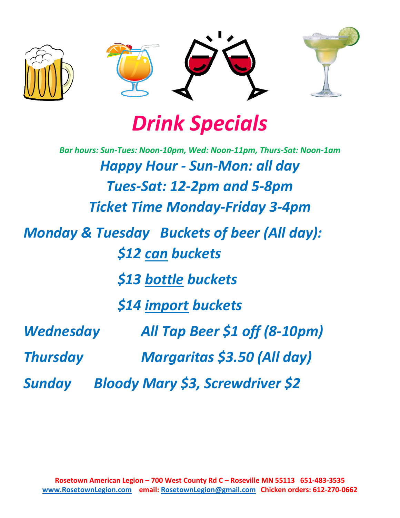

# *Dr[in](https://creativecommons.org/licenses/by-nc/3.0/)k Specials*

|                  | Bar hours: Sun-Tues: Noon-10pm, Wed: Noon-11pm, Thurs-Sat: Noon-1am        |
|------------------|----------------------------------------------------------------------------|
|                  | <b>Happy Hour - Sun-Mon: all day</b>                                       |
|                  | Tues-Sat: 12-2pm and 5-8pm                                                 |
|                  | <b>Ticket Time Monday-Friday 3-4pm</b>                                     |
|                  | <b>Monday &amp; Tuesday Buckets of beer (All day):</b><br>\$12 can buckets |
|                  | \$13 bottle buckets                                                        |
|                  | \$14 import buckets                                                        |
| <b>Wednesday</b> | All Tap Beer \$1 off (8-10pm)                                              |
| <b>Thursday</b>  | <b>Margaritas \$3.50 (All day)</b>                                         |
| Sunday           | <b>Bloody Mary \$3, Screwdriver \$2</b>                                    |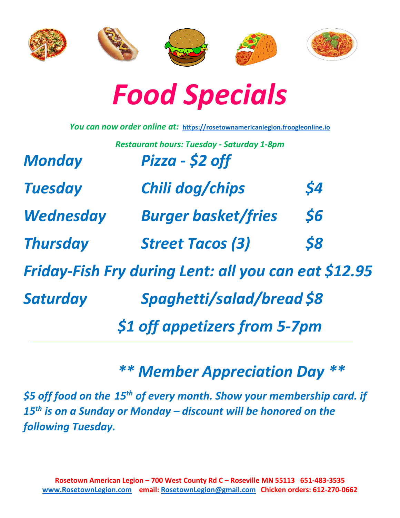



|                  | You can now order online at: https://rosetownamericanlegion.froogleonline.io |           |
|------------------|------------------------------------------------------------------------------|-----------|
|                  | <b>Restaurant hours: Tuesday - Saturday 1-8pm</b>                            |           |
| <b>Monday</b>    | Pizza - \$2 off                                                              |           |
| <b>Tuesday</b>   | Chili dog/chips                                                              | \$4       |
| <b>Wednesday</b> | <b>Burger basket/fries</b>                                                   | <b>S6</b> |
| <b>Thursday</b>  | <b>Street Tacos (3)</b>                                                      | \$8       |
|                  | Friday-Fish Fry during Lent: all you can eat \$12.95                         |           |
| Saturday         | Spaghetti/salad/bread \$8                                                    |           |
|                  | \$1 off appetizers from 5-7pm                                                |           |
|                  |                                                                              |           |

# *\*\* Member Appreciation Day \*\**

*\$5 off food on the 15th of every month. Show your membership card. if 15th is on a Sunday or Monday – discount will be honored on the following Tuesday.*